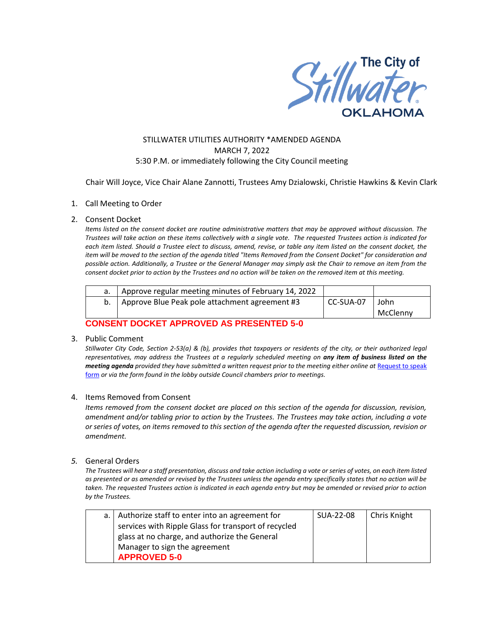

### STILLWATER UTILITIES AUTHORITY \*AMENDED AGENDA MARCH 7, 2022 5:30 P.M. or immediately following the City Council meeting

Chair Will Joyce, Vice Chair Alane Zannotti, Trustees Amy Dzialowski, Christie Hawkins & Kevin Clark

#### 1. Call Meeting to Order

#### 2. Consent Docket

*Items listed on the consent docket are routine administrative matters that may be approved without discussion. The Trustees will take action on these items collectively with a single vote. The requested Trustees action is indicated for each item listed. Should a Trustee elect to discuss, amend, revise, or table any item listed on the consent docket, the item will be moved to the section of the agenda titled "Items Removed from the Consent Docket" for consideration and possible action. Additionally, a Trustee or the General Manager may simply ask the Chair to remove an item from the consent docket prior to action by the Trustees and no action will be taken on the removed item at this meeting.*

| Approve Blue Peak pole attachment agreement #3<br>CC-SUA-07<br>John | Approve regular meeting minutes of February 14, 2022 |          |
|---------------------------------------------------------------------|------------------------------------------------------|----------|
|                                                                     |                                                      |          |
|                                                                     |                                                      | McClenny |

## **CONSENT DOCKET APPROVED AS PRESENTED 5-0**

#### 3. Public Comment

*Stillwater City Code, Section 2-53(a) & (b), provides that taxpayers or residents of the city, or their authorized legal representatives, may address the Trustees at a regularly scheduled meeting on any item of business listed on the meeting agenda provided they have submitted a written request prior to the meeting either online at Request to speak* [form](http://stillwater.org/page/home/government/mayor-city-council/meetings-agendas-minutes/online-request-to-speak-at-city-council) *or via the form found in the lobby outside Council chambers prior to meetings.*

#### 4. Items Removed from Consent

*Items removed from the consent docket are placed on this section of the agenda for discussion, revision, amendment and/or tabling prior to action by the Trustees. The Trustees may take action, including a vote or series of votes, on items removed to this section of the agenda after the requested discussion, revision or amendment.* 

#### *5.* General Orders

*The Trustees will hear a staff presentation, discuss and take action including a vote or series of votes, on each item listed as presented or as amended or revised by the Trustees unless the agenda entry specifically states that no action will be taken. The requested Trustees action is indicated in each agenda entry but may be amended or revised prior to action by the Trustees.* 

| a.   Authorize staff to enter into an agreement for  | SUA-22-08 | Chris Knight |
|------------------------------------------------------|-----------|--------------|
| services with Ripple Glass for transport of recycled |           |              |
| glass at no charge, and authorize the General        |           |              |
| Manager to sign the agreement                        |           |              |
| <b>APPROVED 5-0</b>                                  |           |              |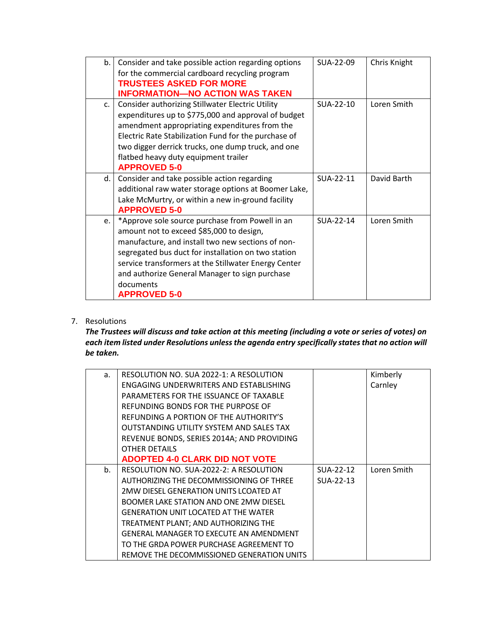| b. | Consider and take possible action regarding options  | SUA-22-09 | Chris Knight |
|----|------------------------------------------------------|-----------|--------------|
|    | for the commercial cardboard recycling program       |           |              |
|    | <b>TRUSTEES ASKED FOR MORE</b>                       |           |              |
|    | <b>INFORMATION-NO ACTION WAS TAKEN</b>               |           |              |
| C. | Consider authorizing Stillwater Electric Utility     | SUA-22-10 | Loren Smith  |
|    | expenditures up to \$775,000 and approval of budget  |           |              |
|    | amendment appropriating expenditures from the        |           |              |
|    | Electric Rate Stabilization Fund for the purchase of |           |              |
|    | two digger derrick trucks, one dump truck, and one   |           |              |
|    | flatbed heavy duty equipment trailer                 |           |              |
|    | <b>APPROVED 5-0</b>                                  |           |              |
| d. | Consider and take possible action regarding          | SUA-22-11 | David Barth  |
|    | additional raw water storage options at Boomer Lake, |           |              |
|    | Lake McMurtry, or within a new in-ground facility    |           |              |
|    | <b>APPROVED 5-0</b>                                  |           |              |
| e. | *Approve sole source purchase from Powell in an      | SUA-22-14 | Loren Smith  |
|    | amount not to exceed \$85,000 to design,             |           |              |
|    | manufacture, and install two new sections of non-    |           |              |
|    | segregated bus duct for installation on two station  |           |              |
|    | service transformers at the Stillwater Energy Center |           |              |
|    | and authorize General Manager to sign purchase       |           |              |
|    | documents                                            |           |              |
|    | <b>APPROVED 5-0</b>                                  |           |              |

# 7. Resolutions

*The Trustees will discuss and take action at this meeting (including a vote or series of votes) on each item listed under Resolutions unless the agenda entry specifically states that no action will be taken.*

| a. | RESOLUTION NO. SUA 2022-1: A RESOLUTION        |           | Kimberly    |
|----|------------------------------------------------|-----------|-------------|
|    | ENGAGING UNDERWRITERS AND ESTABLISHING         |           | Carnley     |
|    | PARAMETERS FOR THE ISSUANCE OF TAXABLE         |           |             |
|    | REFUNDING BONDS FOR THE PURPOSE OF             |           |             |
|    | REFUNDING A PORTION OF THE AUTHORITY'S         |           |             |
|    | OUTSTANDING UTILITY SYSTEM AND SALES TAX       |           |             |
|    | REVENUE BONDS, SERIES 2014A; AND PROVIDING     |           |             |
|    | <b>OTHER DETAILS</b>                           |           |             |
|    | <b>ADOPTED 4-0 CLARK DID NOT VOTE</b>          |           |             |
| b. | RESOLUTION NO. SUA-2022-2: A RESOLUTION        | SUA-22-12 | Loren Smith |
|    | AUTHORIZING THE DECOMMISSIONING OF THREE       | SUA-22-13 |             |
|    | 2MW DIESEL GENERATION UNITS LCOATED AT         |           |             |
|    | BOOMER LAKE STATION AND ONE 2MW DIESEL         |           |             |
|    | <b>GENERATION UNIT LOCATED AT THE WATER</b>    |           |             |
|    | TREATMENT PLANT; AND AUTHORIZING THE           |           |             |
|    | <b>GENERAL MANAGER TO EXECUTE AN AMENDMENT</b> |           |             |
|    | TO THE GRDA POWER PURCHASE AGREEMENT TO        |           |             |
|    | REMOVE THE DECOMMISSIONED GENERATION UNITS     |           |             |